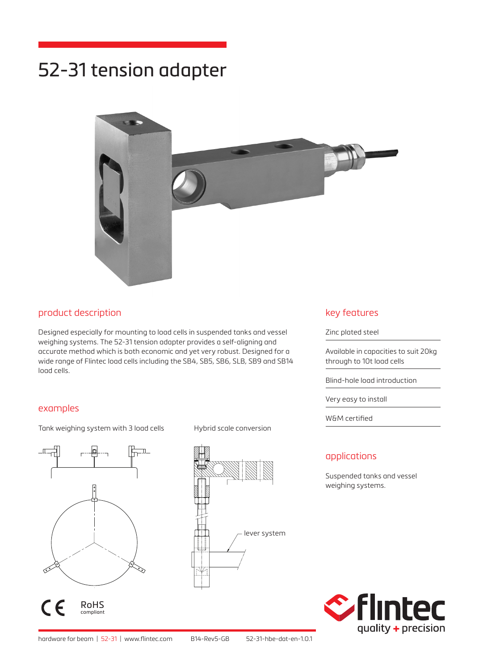# 52-31 tension adapter



### product description

Designed especially for mounting to load cells in suspended tanks and vessel weighing systems. The 52-31 tension adapter provides a self-aligning and accurate method which is both economic and yet very robust. Designed for a wide range of Flintec load cells including the SB4, SB5, SB6, SLB, SB9 and SB14 load cells.

#### examples

Tank weighing system with 3 load cells Hybrid scale conversion



 $\epsilon$ RoHS compliant



### key features

Zinc plated steel

Available in capacities to suit 20kg through to 10t load cells

Blind-hole load introduction

Very easy to install

W&M certified

### applications

Suspended tanks and vessel weighing systems.